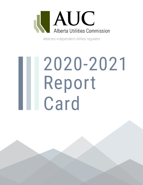

*Alberta's independent utilities regulator*

# 2020-2021 Report II Card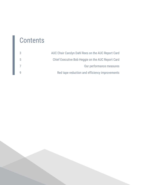### **Contents**

|             | AUC Chair Carolyn Dahl Rees on the AUC Report Card |
|-------------|----------------------------------------------------|
| $5^{\circ}$ | Chief Executive Bob Heggie on the AUC Report Card  |
|             | Our performance measures                           |
|             | Red tape reduction and efficiency improvements     |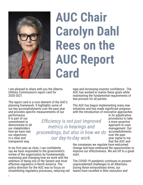

## **AUC Chair Carolyn Dahl Rees on the AUC Report Card**

I am pleased to share with you the Alberta Utilities Commission's report card for 2020-2021.

The report card is a core element of the AUC's planning framework. It highlights some of our key accomplishments over the past year and provides specific measurements of our performance.

It is part of our commitment to demonstrate to all our stakeholders how we have met our objectives in a clear and transparent way.

*Efficiency is not just improved metrics in hearings and proceedings, but also in how we do our day-to-day work.* 

In my first year as chair, I can confidently say we have responded to the government's review of the organization by fundamentally examining and changing how we work with the ambition of being one of the fastest and most effective regulators in North America. The policy direction for the AUC was to focus on streamlining regulatory processes, reducing red

tape and increasing investor confidence. The AUC has worked to realize these goals while maintaining the fundamental requirements of due process for all parties.

The AUC has begun implementing many new initiatives and has made significant progress with the introduction of innovative approaches

in its adjudicative procedures to take a more assertive approach to case management. Our accomplishments over the past year signal to me that the AUC and

the companies we regulate have welcomed change and have embraced the opportunities to improve our effectiveness. We are off to a great start.

The COVID-19 pandemic continues to present unprecedented challenges to all Albertans. During these extraordinary times, our teams have excelled in their execution and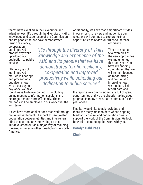teams have excelled in their execution and adaptiveness. It's through the diversity of skills, knowledge and experience of the Commission and its people that we have demonstrated terrific resiliency,

Additionally, we have made significant strides in our efforts to review and modernize our rules. We will continue to explore further opportunities to review our rules to increase efficiency.

co-operation and improved productivity while upholding our dedication to public service.

Efficiency is not just improved metrics in hearings and proceedings, but also in how we do our day-today work. We have

*"It's through the diversity of skills, knowledge and experience of the AUC and its people that we have demonstrated terrific resiliency, co-operation and improved productivity while upholding our dedication to public service."*

These are just a few examples of the new approaches we implemented this past year. You have my ongoing commitment that we will remain focused on modernizing and continually improving how we regulate. This report card and

4

the reports we commissioned are full of great opportunities and we are already making good progress in many areas. I am optimistic for the year ahead.

Finally, I would like to acknowledge and thank the many stakeholders whose ongoing feedback, counsel and cooperation greatly support the work of the Commission. We look forward to continuing that work with you.

**Carolyn Dahl Rees**

**Chair**

found ways to deliver our work – including online meetings, information sessions and hearings – much more efficiently. These methods will be employed in our work over the long term.

As we have more applications resolved through mediated settlements, I expect to see greater cooperation between utilities and interveners. I find this particularly motivating as this initiative stood out as a major way of reducing turnaround times in other jurisdictions in North America.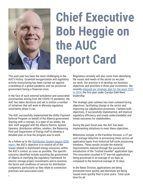

## **Chief Executive Bob Heggie on the AUC Report Card**

This past year has been the most challenging in the AUC's history. Essential reorganization and regulatory activity restructuring has been carried out against a backdrop of a global pandemic and our provincial government facing a financial crisis.

In the face of such external turbulence and associated uncertainties arising from the COVID-19 pandemic, the AUC has taken decisions and set in motion a number of initiatives that will work to alleviate regulatory uncertainty where it can.

The AUC successfully implemented the Utility Payment Deferral Program on behalf of the Alberta government. Starting with a concept, in a span of six weeks, the AUC staff engaged with the Alberta Electric System Operator, distribution utilities, retailers, the Balancing Pool and Department of Energy staff to develop a detailed plan on how the program was to work.

As a follow up to the [Distribution System Inquiry \(DSI\)](https://www.auc.ab.ca/Pages/AUC Stories/Looking-to-the-future-AUC-releases-final-report-of-Distribution-System-Inquir.aspx)  report, the AUC's objective is to resolve all of the issues related to distributed energy resources, within the AUC's control, as soon as possible. The specific concerns identified include assisting the government of Alberta in clarifying the regulatory framework for electric storage project investments and to examine the terms and conditions of service for distribution companies, particularly as they relate to connection practices and associated costs.

Regulatory certainty will also come from identifying the issues and needs of the sector as we plan our work. Our practice is to develop our business objectives and priorities in three year increments. We recently released our strategic [plan for the years 2021](https://www.auc.ab.ca/Pages/AUC Stories/New-AUC-strategic-plan-guides-refined-focus-on-efficiency,-facilitating-change,-and-people.aspx) to 2024, the first plan under Carolyn Dahl Rees' leadership.

The strategic plan outlines two main outward-facing objectives: facilitating change in the sector and improving our adjudicative processes. I believe both objectives, if successfully implemented, will improve regulatory efficiency and create understandable and timely outcomes for stakeholders.

During the past fiscal year, the AUC has been implementing initiatives to meet these objectives.

Milestones include, in the Facilities Division, a 37 per cent average reduction in processing times across all application types from historical full-cycle processing timelines. These results include the material improvements realized through the successful introduction of the "trusted traveller" application type. This innovation resulted in 57 low-risk applications being processed in an average of six days as compared to the historical average of 16 days.

In the Rates Division, applications are being processed more quickly and decisions are being issued more quickly than in prior years. Total cycle time for all  $\frac{1}{3}$  time for all  $\frac{1}{3}$  time for all  $\frac{1}{3}$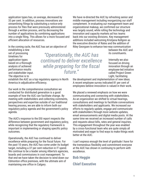application types has, on average, decreased by 33 per cent. In addition, process innovations are streamlining filings by substituting a notice-only process for files that were previously administered through a written process, and by decreasing the number of applications by combining applications into a single filing. This allows for a more focused and efficient allocation of resources.

In the coming cycle, the AUC has set an objective of

establishing a new set of processing timelines for application types based on a thorough analysis of achieved performance results and stakeholder input. The objective is to

*"Operationally, the AUC has continued to deliver excellence while preparing for the fiscal future."*

establish the AUC as a top regulatory agency in North America in adjudicative efficiency.

Our work in the comprehensive consultation we conducted for distributed generation is a good example of how the AUC can facilitate change. By meeting with stakeholders and collecting comments, perspectives and expertise outside of our traditional hearing process, we are able to inform both our regulatory policy agenda and the government's policy agenda.

The AUC's response to the DSI report respects the difference between government and regulatory policy, while recognizing that the regulatory framework is important in implementing or shaping specific policy outcomes.

Operationally, the AUC has continued to deliver excellence while preparing for the fiscal future. For the past 10 years, the AUC has come under its budget target, including a 37 per cent reduction in IT spend. We continue to be a leader among Alberta's agencies, boards and commissions in cost management. To that end we have taken the decision to wind down our Edmonton office premises, with the ultimate aim of maintaining one office in Calgary.

We have re-directed the AUC by refreshing senior and middle management including reorganizing our staff complement. In evaluating our management team and organizational makeup, we confirmed our structure was largely sound, while rolling the technology and innovation and capacity markets ad hoc teams back into our existing divisions. Key management additions included welcoming Kristjana Kellgren as the executive director of Rates and the addition of Riley Georgsen to enhance two-way communication

> between the AUC and its constituents.

Internally we also focused on driving innovation through an employee-led initiative called Project Green Light, facilitating

the development and implementation of new ideas. A recent employee survey indicated 81 per cent of employees believe innovation is valued in their work.

We placed a renewed emphasis on how we were communicating and connecting with stakeholders. As an organization we shifted to virtual hearings, consultations and meetings to facilitate conversations with stakeholders and applicants. We increased our efforts to regularly update, engage and communicate with stakeholders through more website updates, email announcements and digital media posts. At the same time we received an increased number of calls and requests about bills, rates and general inquiries. This engagement throughout the year was enabled by a cross-functional team who are quite simply all motivated and eager to find ways to make things work better at the AUC.

I can't express enough the level of gratitude I have for the tremendous flexibility and commitment everyone at the AUC has shown in continuing to perform with excellence.

**Bob Heggie Chief Executive**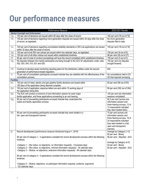### Our performance measures

|                                         | Performance Measure                                                                                                                                                                   | 2020-2021 Results                                       |  |  |  |  |  |  |  |
|-----------------------------------------|---------------------------------------------------------------------------------------------------------------------------------------------------------------------------------------|---------------------------------------------------------|--|--|--|--|--|--|--|
| <b>Market Oversight and Enforcement</b> |                                                                                                                                                                                       |                                                         |  |  |  |  |  |  |  |
| 1.a                                     | 100 per cent of decisions are issued within 90 days after the close of record.                                                                                                        | 100 per cent (78 out of 78)                             |  |  |  |  |  |  |  |
| 1.b                                     | 100 per cent of decisions regarding micro-generation disputes are issued within 30 days after the close                                                                               | No micro-generation                                     |  |  |  |  |  |  |  |
|                                         | of record, as legislated.                                                                                                                                                             | disputes filed to date                                  |  |  |  |  |  |  |  |
|                                         |                                                                                                                                                                                       |                                                         |  |  |  |  |  |  |  |
| 1.c                                     | 100 per cent of decisions regarding uncontested reliability standards or ISO rule applications are issued                                                                             | 100 per cent (18 out of 18)                             |  |  |  |  |  |  |  |
|                                         | within 30 days after the close of record.                                                                                                                                             |                                                         |  |  |  |  |  |  |  |
| 1.d                                     | 100 per cent of all ISO rule notices are issued within five calendar days, as legislated.                                                                                             | 100 per cent (9 out of 9)<br>96 per cent (26 out of 27) |  |  |  |  |  |  |  |
| 1.e<br>1.f                              | 100 per cent of all other notices are issued within established timelines.<br>80 per cent of code of conduct proceedings will have the record completed within established timelines. | 100 per cent (3 out of 3)                               |  |  |  |  |  |  |  |
| 1.g                                     | No disputes between the market participants are being brought to the AUC for adjudication under rules                                                                                 | 100 per cent (no disputes                               |  |  |  |  |  |  |  |
|                                         | 002, 003, 004, 010, 021 and 028.                                                                                                                                                      | brought forward)                                        |  |  |  |  |  |  |  |
|                                         |                                                                                                                                                                                       |                                                         |  |  |  |  |  |  |  |
| 1.h                                     | Continue to develop asset monitoring reporting plans for the distribution utilities under the second                                                                                  | N/A                                                     |  |  |  |  |  |  |  |
|                                         | generation of performance-based regulation.                                                                                                                                           |                                                         |  |  |  |  |  |  |  |
| 1.i                                     | 75 per cent of consultation participants surveyed indicate they are satisfied with the effectiveness of the                                                                           | No consultations held in Q1-                            |  |  |  |  |  |  |  |
|                                         | consultation process.                                                                                                                                                                 | Q3 that required surveying                              |  |  |  |  |  |  |  |
| <b>Facilities</b>                       |                                                                                                                                                                                       |                                                         |  |  |  |  |  |  |  |
| 2.c                                     | 100 per cent of need, electric and gas pipeline facility decisions are issued within                                                                                                  | 92 per cent (58 out of 63)                              |  |  |  |  |  |  |  |
|                                         | 180 days of the application being deemed complete.                                                                                                                                    |                                                         |  |  |  |  |  |  |  |
| 2.d                                     | 100 per cent of application response letters are sent within 15 working days of                                                                                                       | 99 per cent (352 out of 354)                            |  |  |  |  |  |  |  |
|                                         | the application being filed.                                                                                                                                                          |                                                         |  |  |  |  |  |  |  |
| 2.e                                     | The AUC will conduct a minimum of one information session for each major                                                                                                              | 100 per cent (six information                           |  |  |  |  |  |  |  |
|                                         | facility application, and those applications proceeding to an oral hearing.                                                                                                           | sessions completed).                                    |  |  |  |  |  |  |  |
| 2.g                                     | 80 per cent of proceeding participants surveyed indicate they understand the                                                                                                          | 92.3 per cent (across one                               |  |  |  |  |  |  |  |
|                                         | needs and facility application process.                                                                                                                                               | information session and<br>three hearing surveys, 12 of |  |  |  |  |  |  |  |
|                                         |                                                                                                                                                                                       | 13 respondents indicated                                |  |  |  |  |  |  |  |
|                                         |                                                                                                                                                                                       | they were treated fairly).                              |  |  |  |  |  |  |  |
| 2.h                                     | 85 per cent of proceeding participants surveyed indicate they were treated in a                                                                                                       | 75 per cent (across one                                 |  |  |  |  |  |  |  |
|                                         | fair, open and transparent manner.                                                                                                                                                    | information session and                                 |  |  |  |  |  |  |  |
|                                         |                                                                                                                                                                                       | three hearing surveys, 18 of                            |  |  |  |  |  |  |  |
|                                         |                                                                                                                                                                                       | 24 respondents indicated                                |  |  |  |  |  |  |  |
|                                         |                                                                                                                                                                                       | they were treated in a fair,                            |  |  |  |  |  |  |  |
|                                         |                                                                                                                                                                                       | open and transparent                                    |  |  |  |  |  |  |  |
|                                         |                                                                                                                                                                                       | manner).                                                |  |  |  |  |  |  |  |
| 2.i                                     | Record development (performance measure introduced August 1, 2019)                                                                                                                    | Average by Category (1-3)                               |  |  |  |  |  |  |  |
|                                         |                                                                                                                                                                                       | 85 per cent - Binary                                    |  |  |  |  |  |  |  |
|                                         | 90 per cent of category 1 - 3 applications complete the record development process within the following                                                                               | 96 per cent - Adjusted - AUC                            |  |  |  |  |  |  |  |
|                                         | timelines:                                                                                                                                                                            |                                                         |  |  |  |  |  |  |  |
|                                         | -Category 1 – (No notice, no objections, no information requests) - 5 business days                                                                                                   | Average by Category (4-5)<br>53 per cent - Binary       |  |  |  |  |  |  |  |
|                                         | -Category 2 – (No notice, no objections, minimal information requests) - 35 calendar days                                                                                             | 92 per cent - Adjusted - AUC                            |  |  |  |  |  |  |  |
|                                         | -Category 3 – (Notice, no objections, extensive information requests) - 90 calendar days                                                                                              |                                                         |  |  |  |  |  |  |  |
|                                         |                                                                                                                                                                                       |                                                         |  |  |  |  |  |  |  |
|                                         | 80 per cent of category 4 - 5 applications complete the record development process within the following                                                                               |                                                         |  |  |  |  |  |  |  |
|                                         | timelines:                                                                                                                                                                            |                                                         |  |  |  |  |  |  |  |
|                                         |                                                                                                                                                                                       |                                                         |  |  |  |  |  |  |  |
|                                         | -Category 4 – (Notice, objections, no participant information requests, evidence, argument)                                                                                           |                                                         |  |  |  |  |  |  |  |
|                                         | 120 calendar days                                                                                                                                                                     |                                                         |  |  |  |  |  |  |  |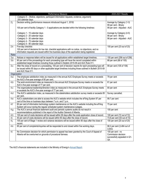|       | Performance Measure                                                                                        | 2020-2021 Results             |
|-------|------------------------------------------------------------------------------------------------------------|-------------------------------|
|       | -Category 5 - (Notice, objections, participant information requests, evidence, argument)                   |                               |
|       | 205 calendar days                                                                                          |                               |
| $2-j$ | Decision writing (performance measure introduced August 1, 2019)                                           | Average by Category (1-3)     |
|       |                                                                                                            | 99 per cent - Binary          |
|       | 100 per cent of facility Category 1 - 5 applications are decided within the following timelines:           | 99 per cent - Adjusted - AUC  |
|       |                                                                                                            |                               |
|       | -Category 1 - 15 calendar days                                                                             | Average by Category (4-5)     |
|       | -Category 2 - 20 calendar days                                                                             | 98 per cent - Binary          |
|       | -Category 3 - 30 calendar days                                                                             | 98 per cent - Adjusted - AUC  |
|       | -Category 4 - 75 calendar days                                                                             |                               |
|       |                                                                                                            |                               |
|       | -Category 5 - 90 calendar days                                                                             |                               |
| 2.k   | Five-day checklist:                                                                                        | 100 per cent (23 out of 23)   |
|       | 100 per cent of decisions for low risk, checklist applications with no notice, no objections, and no       |                               |
|       | information requests are issued within five business days of the application being registered.             |                               |
| Rates |                                                                                                            |                               |
| 3.a   | Notices or response letters will be issued for all applications within established target timelines.       | 100 per cent (256 out of 256) |
| 3.b   | 80 per cent of the proceedings for each proceeding type will have the record completed within              | 88 per cent (88 of 100)       |
|       | established target timelines including those outlined in Bulletin 2015-09 and AUC Rule 011.                |                               |
| 3.c   | After the close of record on a proceeding, 100 per cent of decision reports for each proceeding type will  | 99 per cent (105 of 106)      |
|       | be issued within 90 days or other applicable target timelines including those outlined in Bulletin 2015-09 |                               |
|       | and AUC Rule 011.                                                                                          |                               |
|       | Organization                                                                                               |                               |
| 4.a   | The employee satisfaction index as measured in the annual AUC Employee Survey meets or exceeds             | 79 per cent                   |
|       | the AUC's five-year average of 80 per cent.                                                                |                               |
| 4.b   | The work environment index as measured in the annual AUC Employee Survey meets or exceeds the              | 81 per cent                   |
|       | AUC's five-year average of 77 per cent.                                                                    |                               |
| 4.c   | The organizational leadership/direction index as measured in the annual AUC Employee Survey meets          | 80 per cent                   |
|       | or exceeds the AUC's five-year average of 77 per cent.                                                     |                               |
| 4.d   | The AUC's satisfaction index, as measured in the stakeholders satisfaction survey meets or exceeds 85      | Survey cancelled.             |
|       | per cent.                                                                                                  |                               |
| 4.e   | AUC's stakeholders are able to access the AUC's website which includes the eFiling System 97 per           | 99.7 per cent                 |
|       | cent of the time on business days between 7 a.m. and 7 p.m.                                                |                               |
| 4.f   | 80 per cent of information technology system maintenance on the AUC's website including the eFiling        | 75 per cent                   |
|       |                                                                                                            |                               |
|       | System will occur during the regular scheduled system maintenance outages.                                 |                               |
| 4.g   | The AUC's annual financial statement audit and periodic systems audits do not result in                    | 100 per cent                  |
|       | recommendations published in the report of the Auditor General of Alberta.                                 |                               |
| 4.h   | 100 per cent of costs decisions will be issued within 90 days after the costs application close of record. | 100 per cent (72 out of 72)   |
| 4.i   | 40 per cent of costs decisions will be issued within 60 days after the close of record.                    | 73.6 per cent (53 out of 72)  |
| 4.1   | 100 per cent of Stage 1 review and variance decisions will be issued within 90 days after the close of     | 100 per cent (20 out of 20)   |
|       | record.                                                                                                    |                               |
| 4.k   | 85 per cent of complaints/inquiries will be responded to and closed within five working days.              | 98.3 per cent (3,484 out of   |
|       |                                                                                                            | 3,543)                        |
| 4.1   | No Commission decision for which permission to appeal has been granted by the Court of Appeal of           | 100 per cent - no             |
|       | Alberta will be overturned on grounds of procedural fairness.                                              | Commission decision           |
|       |                                                                                                            | successfully appealed in Q1-  |
|       |                                                                                                            | Q4.                           |

The AUC's financial statements are included in the Ministry of Energy's [Annual Report.](https://open.alberta.ca/publications/1703-4582)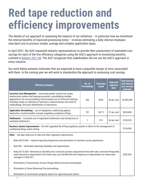### **Red tape reduction and efficiency improvements**

The details of our approach to assessing the impacts of our initiatives – in particular how we monetized the internal benefits of improved processing times – involves estimating a daily internal employee stan-dard cost to process simple, average and complex application types.

In April 2021, the AUC requested industry representatives to provide their assessment of estimated cost savings for each of the five efficiency categories using the AUC's approach to monetizing benefits, outlined in [Bulletin 2021-08](https://www.auc.ab.ca/News/2021/Bulletin%202021-08.pdf). The AUC recognizes that stakeholders did not use the AUC's approach in every instance.

Our work below presents estimates that are expected to have a plausible margin of error associated with them. In the coming year we will work to standardize the approach to assessing cost savings.

| <b>Efficiency Category</b>                                                                                                                                                                                                                                                                                                                                   |                                                                                                 | No. of<br><b>Proceedings</b> | <b>Total days</b><br>saved | <b>Improved</b><br>approval<br>time | <b>Total internal</b><br>and industry<br>cost savings<br>estimates |
|--------------------------------------------------------------------------------------------------------------------------------------------------------------------------------------------------------------------------------------------------------------------------------------------------------------------------------------------------------------|-------------------------------------------------------------------------------------------------|------------------------------|----------------------------|-------------------------------------|--------------------------------------------------------------------|
| Assertive Case Management - exercising greater control over scope,<br>interlocutory matters and hearing processes; consolidating multiple<br>applications into one proceeding; and increased use of technical meetings<br>including rulings on relevance of questions, responsiveness and need for<br>undertakings, and early identification of intervenors. |                                                                                                 | 420                          | 8569                       | 38 per cent                         | \$2,605,499                                                        |
| Application Streamlining - use of delegations, addressing agency<br>181<br>1427.5<br>duplication, trusted traveller concept, expediting compliance filings.                                                                                                                                                                                                  |                                                                                                 |                              | 37 per cent                | \$633,608                           |                                                                    |
| Settlements - increased use of negotiated settlements and introduction of<br>mediated settlements.                                                                                                                                                                                                                                                           |                                                                                                 | 1                            | 315                        | 63 per cent                         | \$149,355                                                          |
| <b>Business System Improvements</b> - The AUC upgraded the eFiling regulatory system to allow for the management of<br>confidential filings within eFiling.                                                                                                                                                                                                  |                                                                                                 |                              |                            |                                     | \$154,900                                                          |
| <b>Other</b> $-$ red tape reduction of rules and other regulatory requirements                                                                                                                                                                                                                                                                               |                                                                                                 |                              |                            |                                     |                                                                    |
| $\bullet$                                                                                                                                                                                                                                                                                                                                                    | Rules 002 & 003 - reduced reporting frequencies and elimination of customer survey requirement. |                              |                            |                                     |                                                                    |
| $\bullet$                                                                                                                                                                                                                                                                                                                                                    | Rule 005 - eliminated reporting schedules and requirements.                                     |                              |                            |                                     |                                                                    |
| Rules 021 & 028 - Removed an obsolete error correction process requirement from both rules; removed infrequently<br>$\bullet$<br>used transaction requirements from both rules; and clarified the time frequency of requirements for meter data<br>managers in Rule 021.                                                                                     |                                                                                                 |                              |                            |                                     | \$292,452                                                          |
| Elimination of Transmission Access Charge Deferral Account proceedings.<br>$\bullet$                                                                                                                                                                                                                                                                         |                                                                                                 |                              |                            |                                     |                                                                    |
| Elimination of future Balancing Pool proceedings.<br>$\bullet$                                                                                                                                                                                                                                                                                               |                                                                                                 |                              |                            |                                     |                                                                    |
|                                                                                                                                                                                                                                                                                                                                                              | Elimination of construction progress reports for approved power plants.                         |                              |                            |                                     |                                                                    |

9